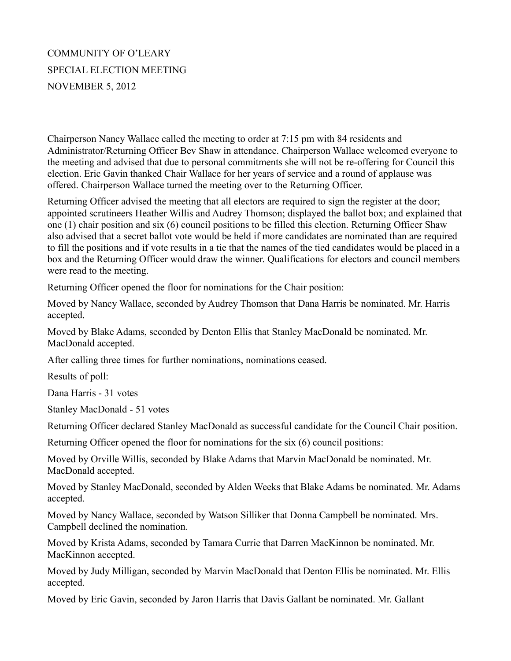## COMMUNITY OF O'LEARY SPECIAL ELECTION MEETING NOVEMBER 5, 2012

Chairperson Nancy Wallace called the meeting to order at 7:15 pm with 84 residents and Administrator/Returning Officer Bev Shaw in attendance. Chairperson Wallace welcomed everyone to the meeting and advised that due to personal commitments she will not be re-offering for Council this election. Eric Gavin thanked Chair Wallace for her years of service and a round of applause was offered. Chairperson Wallace turned the meeting over to the Returning Officer.

Returning Officer advised the meeting that all electors are required to sign the register at the door; appointed scrutineers Heather Willis and Audrey Thomson; displayed the ballot box; and explained that one (1) chair position and six (6) council positions to be filled this election. Returning Officer Shaw also advised that a secret ballot vote would be held if more candidates are nominated than are required to fill the positions and if vote results in a tie that the names of the tied candidates would be placed in a box and the Returning Officer would draw the winner. Qualifications for electors and council members were read to the meeting.

Returning Officer opened the floor for nominations for the Chair position:

Moved by Nancy Wallace, seconded by Audrey Thomson that Dana Harris be nominated. Mr. Harris accepted.

Moved by Blake Adams, seconded by Denton Ellis that Stanley MacDonald be nominated. Mr. MacDonald accepted.

After calling three times for further nominations, nominations ceased.

Results of poll:

Dana Harris - 31 votes

Stanley MacDonald - 51 votes

Returning Officer declared Stanley MacDonald as successful candidate for the Council Chair position.

Returning Officer opened the floor for nominations for the six (6) council positions:

Moved by Orville Willis, seconded by Blake Adams that Marvin MacDonald be nominated. Mr. MacDonald accepted.

Moved by Stanley MacDonald, seconded by Alden Weeks that Blake Adams be nominated. Mr. Adams accepted.

Moved by Nancy Wallace, seconded by Watson Silliker that Donna Campbell be nominated. Mrs. Campbell declined the nomination.

Moved by Krista Adams, seconded by Tamara Currie that Darren MacKinnon be nominated. Mr. MacKinnon accepted.

Moved by Judy Milligan, seconded by Marvin MacDonald that Denton Ellis be nominated. Mr. Ellis accepted.

Moved by Eric Gavin, seconded by Jaron Harris that Davis Gallant be nominated. Mr. Gallant